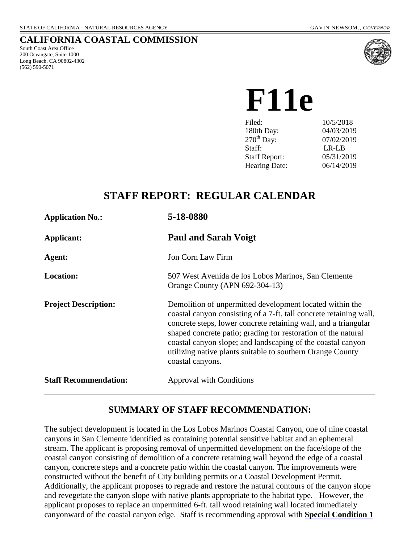#### **CALIFORNIA COASTAL COMMISSION**

South Coast Area Office 200 Oceangate, Suite 1000 Long Beach, CA 90802-4302 (562) 590-5071



 **F11e**

| Filed:                 | 10/5/2018  |
|------------------------|------------|
| 180th Day:             | 04/03/2019 |
| $270^{\text{th}}$ Day: | 07/02/2019 |
| Staff:                 | LR-LB      |
| <b>Staff Report:</b>   | 05/31/2019 |
| <b>Hearing Date:</b>   | 06/14/2019 |
|                        |            |

# **STAFF REPORT: REGULAR CALENDAR**

| <b>Application No.:</b>      | 5-18-0880                                                                                                                                                                                                                                                                                                                                                                                                           |
|------------------------------|---------------------------------------------------------------------------------------------------------------------------------------------------------------------------------------------------------------------------------------------------------------------------------------------------------------------------------------------------------------------------------------------------------------------|
| Applicant:                   | <b>Paul and Sarah Voigt</b>                                                                                                                                                                                                                                                                                                                                                                                         |
| Agent:                       | Jon Corn Law Firm                                                                                                                                                                                                                                                                                                                                                                                                   |
| <b>Location:</b>             | 507 West Avenida de los Lobos Marinos, San Clemente<br>Orange County (APN 692-304-13)                                                                                                                                                                                                                                                                                                                               |
| <b>Project Description:</b>  | Demolition of unpermitted development located within the<br>coastal canyon consisting of a 7-ft. tall concrete retaining wall,<br>concrete steps, lower concrete retaining wall, and a triangular<br>shaped concrete patio; grading for restoration of the natural<br>coastal canyon slope; and landscaping of the coastal canyon<br>utilizing native plants suitable to southern Orange County<br>coastal canyons. |
| <b>Staff Recommendation:</b> | <b>Approval with Conditions</b>                                                                                                                                                                                                                                                                                                                                                                                     |

## **SUMMARY OF STAFF RECOMMENDATION:**

The subject development is located in the Los Lobos Marinos Coastal Canyon, one of nine coastal canyons in San Clemente identified as containing potential sensitive habitat and an ephemeral stream. The applicant is proposing removal of unpermitted development on the face/slope of the coastal canyon consisting of demolition of a concrete retaining wall beyond the edge of a coastal canyon, concrete steps and a concrete patio within the coastal canyon. The improvements were constructed without the benefit of City building permits or a Coastal Development Permit. Additionally, the applicant proposes to regrade and restore the natural contours of the canyon slope and revegetate the canyon slope with native plants appropriate to the habitat type. However, the applicant proposes to replace an unpermitted 6-ft. tall wood retaining wall located immediately canyonward of the coastal canyon edge. Staff is recommending approval with **[Special Condition 1](#page-4-0)**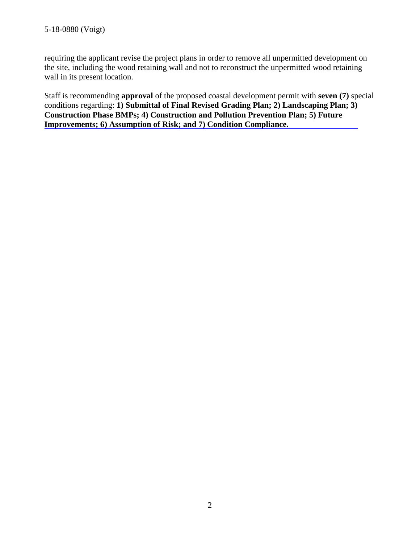requiring the applicant revise the project plans in order to remove all unpermitted development on the site, including the wood retaining wall and not to reconstruct the unpermitted wood retaining wall in its present location.

Staff is recommending **approval** of the proposed coastal development permit with **seven (7)** special conditions regarding: **1) Submittal of Final Revised Grading Plan; 2) Landscaping Plan; 3) [Construction Phase BMPs; 4\) Construction and Pollution Prevention Plan; 5\) Future](#page-4-0)  [Improvements; 6\) Assumption of Risk; and 7\) Condition Compliance.](#page-4-0)**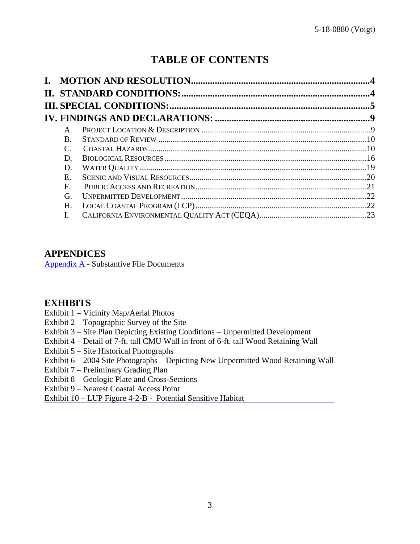# **TABLE OF CONTENTS**

| L. |                       |  |
|----|-----------------------|--|
|    |                       |  |
|    |                       |  |
|    |                       |  |
|    | $\mathbf{A}$          |  |
|    | B.                    |  |
|    | $\mathcal{C}_{\cdot}$ |  |
|    | D.                    |  |
|    | D.                    |  |
|    | $\mathbf{E}$          |  |
|    | $\mathbf{F}$ .        |  |
|    | G.                    |  |
|    | Н.                    |  |
|    | L.                    |  |

### **APPENDICES**

[Appendix A](#page-23-0) - Substantive File Documents

## **EXHIBITS**

- Exhibit 1 Vicinity Map/Aerial Photos
- Exhibit 2 Topographic Survey of the Site
- Exhibit 3 Site Plan Depicting Existing Conditions Unpermitted Development
- Exhibit 4 [Detail of 7-ft. tall CMU Wall in front of 6-ft. tall Wood Retaining Wall](https://documents.coastal.ca.gov/reports/2018/6/F11e/F11e-6-2018-exhibits.pdf)
- Exhibit 5 Site Historical Photographs
- Exhibit 6 2004 Site Photographs Depicting New Unpermitted Wood Retaining Wall
- Exhibit 7 Preliminary Grading Plan
- Exhibit 8 Geologic Plate and Cross-Sections
- Exhibit 9 Nearest Coastal Access Point
- Exhibit 10 LUP Figure 4-2-B Potential Sensitive Habitat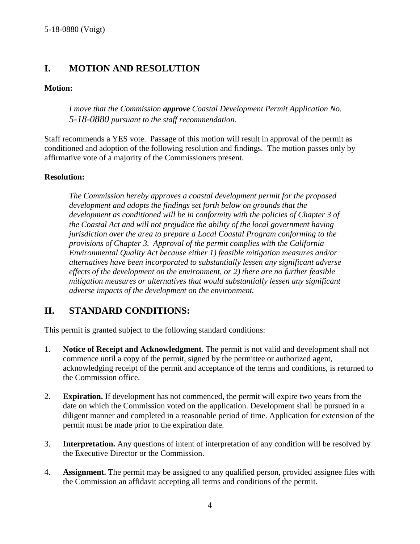## <span id="page-3-0"></span>**I. MOTION AND RESOLUTION**

#### **Motion:**

*I move that the Commission approve Coastal Development Permit Application No. 5-18-0880 pursuant to the staff recommendation.*

Staff recommends a YES vote. Passage of this motion will result in approval of the permit as conditioned and adoption of the following resolution and findings. The motion passes only by affirmative vote of a majority of the Commissioners present.

#### **Resolution:**

*The Commission hereby approves a coastal development permit for the proposed development and adopts the findings set forth below on grounds that the development as conditioned will be in conformity with the policies of Chapter 3 of the Coastal Act and will not prejudice the ability of the local government having jurisdiction over the area to prepare a Local Coastal Program conforming to the provisions of Chapter 3. Approval of the permit complies with the California Environmental Quality Act because either 1) feasible mitigation measures and/or alternatives have been incorporated to substantially lessen any significant adverse effects of the development on the environment, or 2) there are no further feasible mitigation measures or alternatives that would substantially lessen any significant adverse impacts of the development on the environment.*

## <span id="page-3-1"></span>**II. STANDARD CONDITIONS:**

This permit is granted subject to the following standard conditions:

- 1. **Notice of Receipt and Acknowledgment**. The permit is not valid and development shall not commence until a copy of the permit, signed by the permittee or authorized agent, acknowledging receipt of the permit and acceptance of the terms and conditions, is returned to the Commission office.
- 2. **Expiration.** If development has not commenced, the permit will expire two years from the date on which the Commission voted on the application. Development shall be pursued in a diligent manner and completed in a reasonable period of time. Application for extension of the permit must be made prior to the expiration date.
- 3. **Interpretation.** Any questions of intent of interpretation of any condition will be resolved by the Executive Director or the Commission.
- 4. **Assignment.** The permit may be assigned to any qualified person, provided assignee files with the Commission an affidavit accepting all terms and conditions of the permit.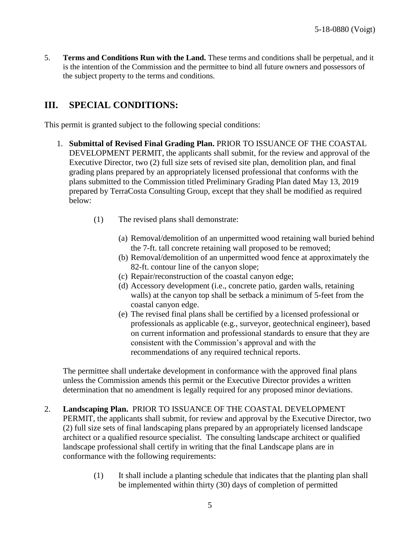<span id="page-4-0"></span>5. **Terms and Conditions Run with the Land.** These terms and conditions shall be perpetual, and it is the intention of the Commission and the permittee to bind all future owners and possessors of the subject property to the terms and conditions.

## <span id="page-4-1"></span>**III. SPECIAL CONDITIONS:**

This permit is granted subject to the following special conditions:

- 1. **Submittal of Revised Final Grading Plan.** PRIOR TO ISSUANCE OF THE COASTAL DEVELOPMENT PERMIT, the applicants shall submit, for the review and approval of the Executive Director, two (2) full size sets of revised site plan, demolition plan, and final grading plans prepared by an appropriately licensed professional that conforms with the plans submitted to the Commission titled Preliminary Grading Plan dated May 13, 2019 prepared by TerraCosta Consulting Group, except that they shall be modified as required below:
	- (1) The revised plans shall demonstrate:
		- (a) Removal/demolition of an unpermitted wood retaining wall buried behind the 7-ft. tall concrete retaining wall proposed to be removed;
		- (b) Removal/demolition of an unpermitted wood fence at approximately the 82-ft. contour line of the canyon slope;
		- (c) Repair/reconstruction of the coastal canyon edge;
		- (d) Accessory development (i.e., concrete patio, garden walls, retaining walls) at the canyon top shall be setback a minimum of 5-feet from the coastal canyon edge.
		- (e) The revised final plans shall be certified by a licensed professional or professionals as applicable (e.g., surveyor, geotechnical engineer), based on current information and professional standards to ensure that they are consistent with the Commission's approval and with the recommendations of any required technical reports.

The permittee shall undertake development in conformance with the approved final plans unless the Commission amends this permit or the Executive Director provides a written determination that no amendment is legally required for any proposed minor deviations.

- 2. **Landscaping Plan.** PRIOR TO ISSUANCE OF THE COASTAL DEVELOPMENT PERMIT, the applicants shall submit, for review and approval by the Executive Director, two (2) full size sets of final landscaping plans prepared by an appropriately licensed landscape architect or a qualified resource specialist. The consulting landscape architect or qualified landscape professional shall certify in writing that the final Landscape plans are in conformance with the following requirements:
	- (1) It shall include a planting schedule that indicates that the planting plan shall be implemented within thirty (30) days of completion of permitted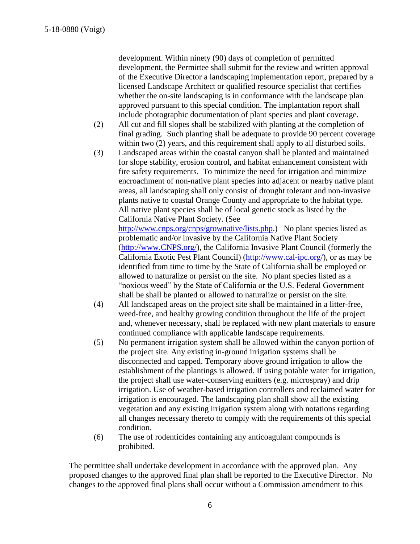development. Within ninety (90) days of completion of permitted development, the Permittee shall submit for the review and written approval of the Executive Director a landscaping implementation report, prepared by a licensed Landscape Architect or qualified resource specialist that certifies whether the on-site landscaping is in conformance with the landscape plan approved pursuant to this special condition. The implantation report shall include photographic documentation of plant species and plant coverage.

- (2) All cut and fill slopes shall be stabilized with planting at the completion of final grading. Such planting shall be adequate to provide 90 percent coverage within two  $(2)$  years, and this requirement shall apply to all disturbed soils.
- (3) Landscaped areas within the coastal canyon shall be planted and maintained for slope stability, erosion control, and habitat enhancement consistent with fire safety requirements. To minimize the need for irrigation and minimize encroachment of non-native plant species into adjacent or nearby native plant areas, all landscaping shall only consist of drought tolerant and non-invasive plants native to coastal Orange County and appropriate to the habitat type. All native plant species shall be of local genetic stock as listed by the California Native Plant Society. (See [http://www.cnps.org/cnps/grownative/lists.php.](http://www.cnps.org/cnps/grownative/lists.php)) No plant species listed as

problematic and/or invasive by the California Native Plant Society [\(http://www.CNPS.org/\)](http://www.cnps.org/), the California Invasive Plant Council (formerly the California Exotic Pest Plant Council) [\(http://www.cal-ipc.org/\)](http://www.cal-ipc.org/), or as may be identified from time to time by the State of California shall be employed or allowed to naturalize or persist on the site. No plant species listed as a "noxious weed" by the State of California or the U.S. Federal Government shall be shall be planted or allowed to naturalize or persist on the site.

- (4) All landscaped areas on the project site shall be maintained in a litter-free, weed-free, and healthy growing condition throughout the life of the project and, whenever necessary, shall be replaced with new plant materials to ensure continued compliance with applicable landscape requirements.
- (5) No permanent irrigation system shall be allowed within the canyon portion of the project site. Any existing in-ground irrigation systems shall be disconnected and capped. Temporary above ground irrigation to allow the establishment of the plantings is allowed. If using potable water for irrigation, the project shall use water-conserving emitters (e.g. microspray) and drip irrigation. Use of weather-based irrigation controllers and reclaimed water for irrigation is encouraged. The landscaping plan shall show all the existing vegetation and any existing irrigation system along with notations regarding all changes necessary thereto to comply with the requirements of this special condition.
- (6) The use of rodenticides containing any anticoagulant compounds is prohibited.

The permittee shall undertake development in accordance with the approved plan. Any proposed changes to the approved final plan shall be reported to the Executive Director. No changes to the approved final plans shall occur without a Commission amendment to this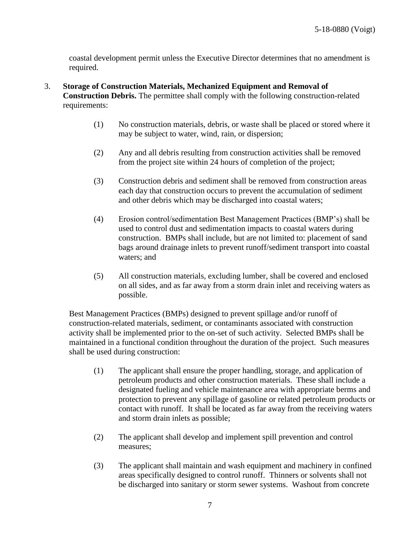<span id="page-6-0"></span>coastal development permit unless the Executive Director determines that no amendment is required.

- 3. **Storage of Construction Materials, Mechanized Equipment and Removal of Construction Debris.** The permittee shall comply with the following construction-related requirements:
	- (1) No construction materials, debris, or waste shall be placed or stored where it may be subject to water, wind, rain, or dispersion;
	- (2) Any and all debris resulting from construction activities shall be removed from the project site within 24 hours of completion of the project;
	- (3) Construction debris and sediment shall be removed from construction areas each day that construction occurs to prevent the accumulation of sediment and other debris which may be discharged into coastal waters;
	- (4) Erosion control/sedimentation Best Management Practices (BMP's) shall be used to control dust and sedimentation impacts to coastal waters during construction. BMPs shall include, but are not limited to: placement of sand bags around drainage inlets to prevent runoff/sediment transport into coastal waters; and
	- (5) All construction materials, excluding lumber, shall be covered and enclosed on all sides, and as far away from a storm drain inlet and receiving waters as possible.

Best Management Practices (BMPs) designed to prevent spillage and/or runoff of construction-related materials, sediment, or contaminants associated with construction activity shall be implemented prior to the on-set of such activity. Selected BMPs shall be maintained in a functional condition throughout the duration of the project. Such measures shall be used during construction:

- (1) The applicant shall ensure the proper handling, storage, and application of petroleum products and other construction materials. These shall include a designated fueling and vehicle maintenance area with appropriate berms and protection to prevent any spillage of gasoline or related petroleum products or contact with runoff. It shall be located as far away from the receiving waters and storm drain inlets as possible;
- (2) The applicant shall develop and implement spill prevention and control measures;
- (3) The applicant shall maintain and wash equipment and machinery in confined areas specifically designed to control runoff. Thinners or solvents shall not be discharged into sanitary or storm sewer systems. Washout from concrete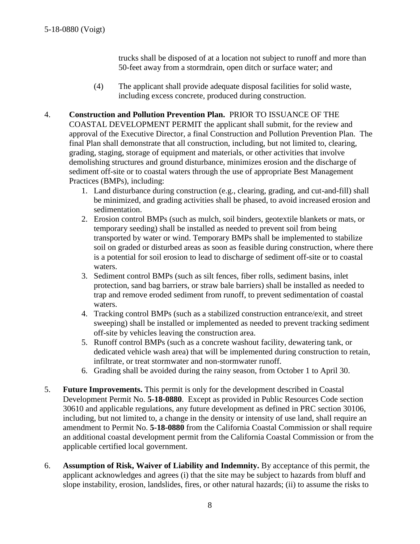trucks shall be disposed of at a location not subject to runoff and more than 50-feet away from a stormdrain, open ditch or surface water; and

- (4) The applicant shall provide adequate disposal facilities for solid waste, including excess concrete, produced during construction.
- 4. **Construction and Pollution Prevention Plan.** PRIOR TO ISSUANCE OF THE COASTAL DEVELOPMENT PERMIT the applicant shall submit, for the review and approval of the Executive Director, a final Construction and Pollution Prevention Plan. The final Plan shall demonstrate that all construction, including, but not limited to, clearing, grading, staging, storage of equipment and materials, or other activities that involve demolishing structures and ground disturbance, minimizes erosion and the discharge of sediment off-site or to coastal waters through the use of appropriate Best Management Practices (BMPs), including:
	- 1. Land disturbance during construction (e.g., clearing, grading, and cut-and-fill) shall be minimized, and grading activities shall be phased, to avoid increased erosion and sedimentation.
	- 2. Erosion control BMPs (such as mulch, soil binders, geotextile blankets or mats, or temporary seeding) shall be installed as needed to prevent soil from being transported by water or wind. Temporary BMPs shall be implemented to stabilize soil on graded or disturbed areas as soon as feasible during construction, where there is a potential for soil erosion to lead to discharge of sediment off-site or to coastal waters.
	- 3. Sediment control BMPs (such as silt fences, fiber rolls, sediment basins, inlet protection, sand bag barriers, or straw bale barriers) shall be installed as needed to trap and remove eroded sediment from runoff, to prevent sedimentation of coastal waters.
	- 4. Tracking control BMPs (such as a stabilized construction entrance/exit, and street sweeping) shall be installed or implemented as needed to prevent tracking sediment off-site by vehicles leaving the construction area.
	- 5. Runoff control BMPs (such as a concrete washout facility, dewatering tank, or dedicated vehicle wash area) that will be implemented during construction to retain, infiltrate, or treat stormwater and non-stormwater runoff.
	- 6. Grading shall be avoided during the rainy season, from October 1 to April 30.
- 5. **Future Improvements.** This permit is only for the development described in Coastal Development Permit No. **5-18-0880**. Except as provided in Public Resources Code section 30610 and applicable regulations, any future development as defined in PRC section 30106, including, but not limited to, a change in the density or intensity of use land, shall require an amendment to Permit No. **5-18-0880** from the California Coastal Commission or shall require an additional coastal development permit from the California Coastal Commission or from the applicable certified local government.
- 6. **Assumption of Risk, Waiver of Liability and Indemnity.** By acceptance of this permit, the applicant acknowledges and agrees (i) that the site may be subject to hazards from bluff and slope instability, erosion, landslides, fires, or other natural hazards; (ii) to assume the risks to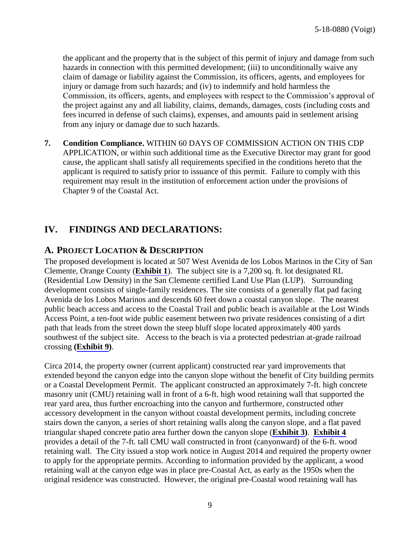<span id="page-8-2"></span>the applicant and the property that is the subject of this permit of injury and damage from such hazards in connection with this permitted development; (iii) to unconditionally waive any claim of damage or liability against the Commission, its officers, agents, and employees for injury or damage from such hazards; and (iv) to indemnify and hold harmless the Commission, its officers, agents, and employees with respect to the Commission's approval of the project against any and all liability, claims, demands, damages, costs (including costs and fees incurred in defense of such claims), expenses, and amounts paid in settlement arising from any injury or damage due to such hazards.

**7. Condition Compliance.** WITHIN 60 DAYS OF COMMISSION ACTION ON THIS CDP APPLICATION, or within such additional time as the Executive Director may grant for good cause, the applicant shall satisfy all requirements specified in the conditions hereto that the applicant is required to satisfy prior to issuance of this permit. Failure to comply with this requirement may result in the institution of enforcement action under the provisions of Chapter 9 of the Coastal Act.

## <span id="page-8-0"></span>**IV. FINDINGS AND DECLARATIONS:**

#### <span id="page-8-1"></span>**A. PROJECT LOCATION & DESCRIPTION**

The proposed development is located at 507 West Avenida de los Lobos Marinos in the City of San Clemente, Orange County (**[Exhibit 1](https://documents.coastal.ca.gov/reports/2018/6/F11e/F11e-6-2018-exhibits.pdf)**). The subject site is a 7,200 sq. ft. lot designated RL (Residential Low Density) in the San Clemente certified Land Use Plan (LUP). Surrounding development consists of single-family residences. The site consists of a generally flat pad facing Avenida de los Lobos Marinos and descends 60 feet down a coastal canyon slope. The nearest public beach access and access to the Coastal Trail and public beach is available at the Lost Winds Access Point, a ten-foot wide public easement between two private residences consisting of a dirt path that leads from the street down the steep bluff slope located approximately 400 yards southwest of the subject site. Access to the beach is via a protected pedestrian at-grade railroad crossing **([Exhibit 9\)](https://documents.coastal.ca.gov/reports/2018/6/F11e/F11e-6-2018-exhibits.pdf)**.

Circa 2014, the property owner (current applicant) constructed rear yard improvements that extended beyond the canyon edge into the canyon slope without the benefit of City building permits or a Coastal Development Permit. The applicant constructed an approximately 7-ft. high concrete masonry unit (CMU) retaining wall in front of a 6-ft. high wood retaining wall that supported the rear yard area, thus further encroaching into the canyon and furthermore, constructed other accessory development in the canyon without coastal development permits, including concrete stairs down the canyon, a series of short retaining walls along the canyon slope, and a flat paved triangular shaped concrete patio area further down the canyon slope (**[Exhibit 3](https://documents.coastal.ca.gov/reports/2018/6/F11e/F11e-6-2018-exhibits.pdf))**. **[Exhibit 4](https://documents.coastal.ca.gov/reports/2018/6/F11e/F11e-6-2018-exhibits.pdf)** provides a detail of the 7-ft. tall CMU wall constructed in front (canyonward) of the 6-ft. wood retaining wall. The City issued a stop work notice in August 2014 and required the property owner to apply for the appropriate permits. According to information provided by the applicant, a wood retaining wall at the canyon edge was in place pre-Coastal Act, as early as the 1950s when the original residence was constructed. However, the original pre-Coastal wood retaining wall has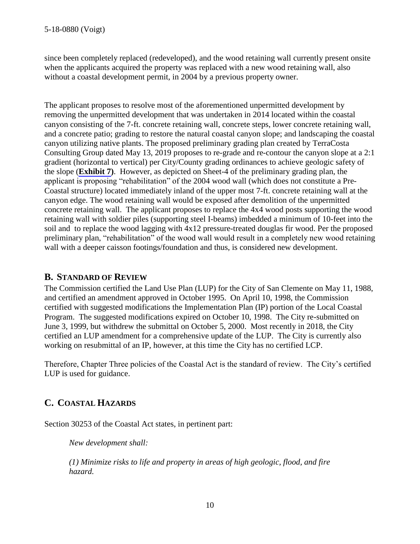since been completely replaced (redeveloped), and the wood retaining wall currently present onsite when the applicants acquired the property was replaced with a new wood retaining wall, also without a coastal development permit, in 2004 by a previous property owner.

The applicant proposes to resolve most of the aforementioned unpermitted development by removing the unpermitted development that was undertaken in 2014 located within the coastal canyon consisting of the 7-ft. concrete retaining wall, concrete steps, lower concrete retaining wall, and a concrete patio; grading to restore the natural coastal canyon slope; and landscaping the coastal canyon utilizing native plants. The proposed preliminary grading plan created by TerraCosta Consulting Group dated May 13, 2019 proposes to re-grade and re-contour the canyon slope at a 2:1 gradient (horizontal to vertical) per City/County grading ordinances to achieve geologic safety of the slope (**[Exhibit 7\)](https://documents.coastal.ca.gov/reports/2018/6/F11e/F11e-6-2018-exhibits.pdf)**. However, as depicted on Sheet-4 of the preliminary grading plan, the applicant is proposing "rehabilitation" of the 2004 wood wall (which does not constitute a Pre-Coastal structure) located immediately inland of the upper most 7-ft. concrete retaining wall at the canyon edge. The wood retaining wall would be exposed after demolition of the unpermitted concrete retaining wall. The applicant proposes to replace the 4x4 wood posts supporting the wood retaining wall with soldier piles (supporting steel I-beams) imbedded a minimum of 10-feet into the soil and to replace the wood lagging with 4x12 pressure-treated douglas fir wood. Per the proposed preliminary plan, "rehabilitation" of the wood wall would result in a completely new wood retaining wall with a deeper caisson footings/foundation and thus, is considered new development.

### <span id="page-9-0"></span>**B. STANDARD OF REVIEW**

The Commission certified the Land Use Plan (LUP) for the City of San Clemente on May 11, 1988, and certified an amendment approved in October 1995. On April 10, 1998, the Commission certified with suggested modifications the Implementation Plan (IP) portion of the Local Coastal Program. The suggested modifications expired on October 10, 1998. The City re-submitted on June 3, 1999, but withdrew the submittal on October 5, 2000. Most recently in 2018, the City certified an LUP amendment for a comprehensive update of the LUP. The City is currently also working on resubmittal of an IP, however, at this time the City has no certified LCP.

Therefore, Chapter Three policies of the Coastal Act is the standard of review. The City's certified LUP is used for guidance.

## <span id="page-9-1"></span>**C. COASTAL HAZARDS**

Section 30253 of the Coastal Act states, in pertinent part:

*New development shall:* 

*(1) Minimize risks to life and property in areas of high geologic, flood, and fire hazard.*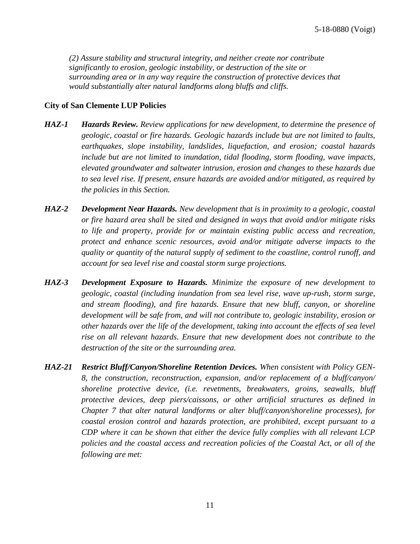*(2) Assure stability and structural integrity, and neither create nor contribute significantly to erosion, geologic instability, or destruction of the site or surrounding area or in any way require the construction of protective devices that would substantially alter natural landforms along bluffs and cliffs.*

#### **City of San Clemente LUP Policies**

- *HAZ-1 Hazards Review. Review applications for new development, to determine the presence of geologic, coastal or fire hazards. Geologic hazards include but are not limited to faults, earthquakes, slope instability, landslides, liquefaction, and erosion; coastal hazards include but are not limited to inundation, tidal flooding, storm flooding, wave impacts, elevated groundwater and saltwater intrusion, erosion and changes to these hazards due to sea level rise. If present, ensure hazards are avoided and/or mitigated, as required by the policies in this Section.*
- *HAZ-2 Development Near Hazards. New development that is in proximity to a geologic, coastal or fire hazard area shall be sited and designed in ways that avoid and/or mitigate risks to life and property, provide for or maintain existing public access and recreation, protect and enhance scenic resources, avoid and/or mitigate adverse impacts to the quality or quantity of the natural supply of sediment to the coastline, control runoff, and account for sea level rise and coastal storm surge projections.*
- *HAZ-3 Development Exposure to Hazards. Minimize the exposure of new development to geologic, coastal (including inundation from sea level rise, wave up-rush, storm surge, and stream flooding), and fire hazards. Ensure that new bluff, canyon, or shoreline development will be safe from, and will not contribute to, geologic instability, erosion or other hazards over the life of the development, taking into account the effects of sea level rise on all relevant hazards. Ensure that new development does not contribute to the destruction of the site or the surrounding area.*
- *HAZ-21 Restrict Bluff/Canyon/Shoreline Retention Devices. When consistent with Policy GEN-8, the construction, reconstruction, expansion, and/or replacement of a bluff/canyon/ shoreline protective device, (i.e. revetments, breakwaters, groins, seawalls, bluff protective devices, deep piers/caissons, or other artificial structures as defined in Chapter 7 that alter natural landforms or alter bluff/canyon/shoreline processes), for coastal erosion control and hazards protection, are prohibited, except pursuant to a CDP where it can be shown that either the device fully complies with all relevant LCP policies and the coastal access and recreation policies of the Coastal Act, or all of the following are met:*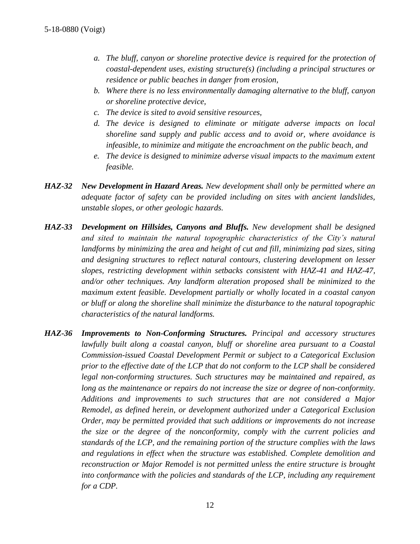- *a. The bluff, canyon or shoreline protective device is required for the protection of coastal-dependent uses, existing structure(s) (including a principal structures or residence or public beaches in danger from erosion,*
- *b. Where there is no less environmentally damaging alternative to the bluff, canyon or shoreline protective device,*
- *c. The device is sited to avoid sensitive resources,*
- *d. The device is designed to eliminate or mitigate adverse impacts on local shoreline sand supply and public access and to avoid or, where avoidance is infeasible, to minimize and mitigate the encroachment on the public beach, and*
- *e. The device is designed to minimize adverse visual impacts to the maximum extent feasible.*
- *HAZ-32 New Development in Hazard Areas. New development shall only be permitted where an adequate factor of safety can be provided including on sites with ancient landslides, unstable slopes, or other geologic hazards.*
- *HAZ-33 Development on Hillsides, Canyons and Bluffs. New development shall be designed and sited to maintain the natural topographic characteristics of the City's natural landforms by minimizing the area and height of cut and fill, minimizing pad sizes, siting and designing structures to reflect natural contours, clustering development on lesser slopes, restricting development within setbacks consistent with HAZ-41 and HAZ-47, and/or other techniques. Any landform alteration proposed shall be minimized to the maximum extent feasible. Development partially or wholly located in a coastal canyon or bluff or along the shoreline shall minimize the disturbance to the natural topographic characteristics of the natural landforms.*
- *HAZ-36 Improvements to Non-Conforming Structures. Principal and accessory structures lawfully built along a coastal canyon, bluff or shoreline area pursuant to a Coastal Commission-issued Coastal Development Permit or subject to a Categorical Exclusion prior to the effective date of the LCP that do not conform to the LCP shall be considered legal non-conforming structures. Such structures may be maintained and repaired, as long as the maintenance or repairs do not increase the size or degree of non-conformity. Additions and improvements to such structures that are not considered a Major Remodel, as defined herein, or development authorized under a Categorical Exclusion Order, may be permitted provided that such additions or improvements do not increase the size or the degree of the nonconformity, comply with the current policies and standards of the LCP, and the remaining portion of the structure complies with the laws and regulations in effect when the structure was established. Complete demolition and reconstruction or Major Remodel is not permitted unless the entire structure is brought*  into conformance with the policies and standards of the LCP, including any requirement *for a CDP.*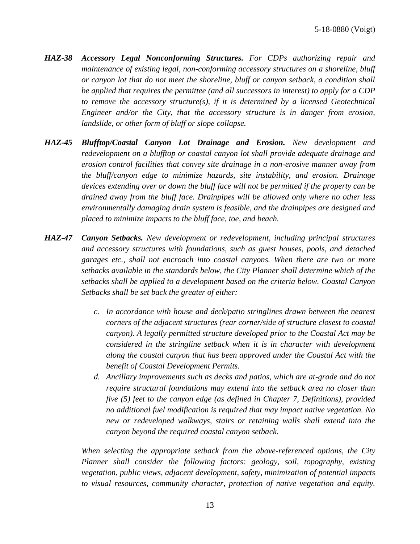- *HAZ-38 Accessory Legal Nonconforming Structures. For CDPs authorizing repair and maintenance of existing legal, non-conforming accessory structures on a shoreline, bluff or canyon lot that do not meet the shoreline, bluff or canyon setback, a condition shall be applied that requires the permittee (and all successors in interest) to apply for a CDP to remove the accessory structure(s), if it is determined by a licensed Geotechnical Engineer and/or the City, that the accessory structure is in danger from erosion, landslide, or other form of bluff or slope collapse.*
- *HAZ-45 Blufftop/Coastal Canyon Lot Drainage and Erosion. New development and redevelopment on a blufftop or coastal canyon lot shall provide adequate drainage and erosion control facilities that convey site drainage in a non-erosive manner away from the bluff/canyon edge to minimize hazards, site instability, and erosion. Drainage devices extending over or down the bluff face will not be permitted if the property can be drained away from the bluff face. Drainpipes will be allowed only where no other less environmentally damaging drain system is feasible, and the drainpipes are designed and placed to minimize impacts to the bluff face, toe, and beach.*
- *HAZ-47 Canyon Setbacks. New development or redevelopment, including principal structures and accessory structures with foundations, such as guest houses, pools, and detached garages etc., shall not encroach into coastal canyons. When there are two or more setbacks available in the standards below, the City Planner shall determine which of the setbacks shall be applied to a development based on the criteria below. Coastal Canyon Setbacks shall be set back the greater of either:*
	- *c. In accordance with house and deck/patio stringlines drawn between the nearest corners of the adjacent structures (rear corner/side of structure closest to coastal canyon). A legally permitted structure developed prior to the Coastal Act may be considered in the stringline setback when it is in character with development along the coastal canyon that has been approved under the Coastal Act with the benefit of Coastal Development Permits.*
	- *d. Ancillary improvements such as decks and patios, which are at-grade and do not require structural foundations may extend into the setback area no closer than five (5) feet to the canyon edge (as defined in Chapter 7, Definitions), provided no additional fuel modification is required that may impact native vegetation. No new or redeveloped walkways, stairs or retaining walls shall extend into the canyon beyond the required coastal canyon setback.*

*When selecting the appropriate setback from the above-referenced options, the City Planner shall consider the following factors: geology, soil, topography, existing vegetation, public views, adjacent development, safety, minimization of potential impacts to visual resources, community character, protection of native vegetation and equity.*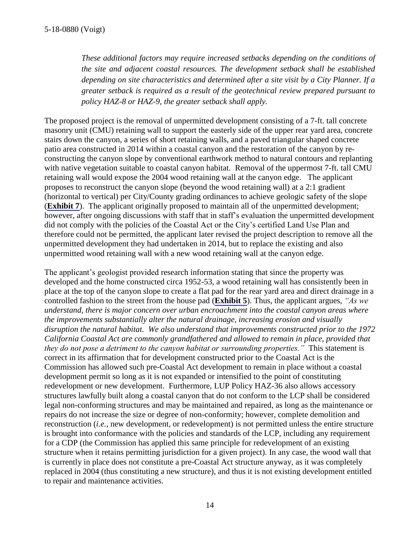*These additional factors may require increased setbacks depending on the conditions of the site and adjacent coastal resources. The development setback shall be established depending on site characteristics and determined after a site visit by a City Planner. If a greater setback is required as a result of the geotechnical review prepared pursuant to policy HAZ-8 or HAZ-9, the greater setback shall apply.* 

The proposed project is the removal of unpermitted development consisting of a 7-ft. tall concrete masonry unit (CMU) retaining wall to support the easterly side of the upper rear yard area, concrete stairs down the canyon, a series of short retaining walls, and a paved triangular shaped concrete patio area constructed in 2014 within a coastal canyon and the restoration of the canyon by reconstructing the canyon slope by conventional earthwork method to natural contours and replanting with native vegetation suitable to coastal canyon habitat. Removal of the uppermost 7-ft. tall CMU retaining wall would expose the 2004 wood retaining wall at the canyon edge. The applicant proposes to reconstruct the canyon slope (beyond the wood retaining wall) at a 2:1 gradient (horizontal to vertical) per City/County grading ordinances to achieve geologic safety of the slope (**[Exhibit 7](https://documents.coastal.ca.gov/reports/2018/6/F11e/F11e-6-2018-exhibits.pdf)**). The applicant originally proposed to maintain all of the unpermitted development; however, after ongoing discussions with staff that in staff's evaluation the unpermitted development did not comply with the policies of the Coastal Act or the City's certified Land Use Plan and therefore could not be permitted, the applicant later revised the project description to remove all the unpermitted development they had undertaken in 2014, but to replace the existing and also unpermitted wood retaining wall with a new wood retaining wall at the canyon edge.

The applicant's geologist provided research information stating that since the property was developed and the home constructed circa 1952-53, a wood retaining wall has consistently been in place at the top of the canyon slope to create a flat pad for the rear yard area and direct drainage in a controlled fashion to the street from the house pad (**[Exhibit 5](https://documents.coastal.ca.gov/reports/2018/6/F11e/F11e-6-2018-exhibits.pdf)**). Thus, the applicant argues, *"As we understand, there is major concern over urban encroachment into the coastal canyon areas where the improvements substantially alter the natural drainage, increasing erosion and visually disruption the natural habitat. We also understand that improvements constructed prior to the 1972 California Coastal Act are commonly grandfathered and allowed to remain in place, provided that they do not pose a detriment to the canyon habitat or surrounding properties."* This statement is correct in its affirmation that for development constructed prior to the Coastal Act is the Commission has allowed such pre-Coastal Act development to remain in place without a coastal development permit so long as it is not expanded or intensified to the point of constituting redevelopment or new development. Furthermore, LUP Policy HAZ-36 also allows accessory structures lawfully built along a coastal canyon that do not conform to the LCP shall be considered legal non-conforming structures and may be maintained and repaired, as long as the maintenance or repairs do not increase the size or degree of non-conformity; however, complete demolition and reconstruction (*i.e.*, new development, or redevelopment) is not permitted unless the entire structure is brought into conformance with the policies and standards of the LCP, including any requirement for a CDP (the Commission has applied this same principle for redevelopment of an existing structure when it retains permitting jurisdiction for a given project). In any case, the wood wall that is currently in place does not constitute a pre-Coastal Act structure anyway, as it was completely replaced in 2004 (thus constituting a new structure), and thus it is not existing development entitled to repair and maintenance activities.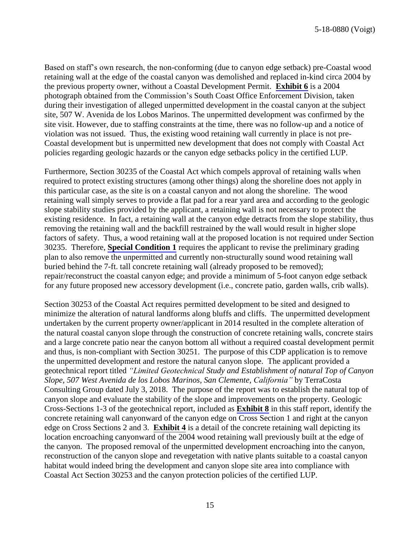Based on staff's own research, the non-conforming (due to canyon edge setback) pre-Coastal wood retaining wall at the edge of the coastal canyon was demolished and replaced in-kind circa 2004 by the previous property owner, without a Coastal Development Permit. **[Exhibit 6](https://documents.coastal.ca.gov/reports/2018/6/F11e/F11e-6-2018-exhibits.pdf)** is a 2004 photograph obtained from the Commission's South Coast Office Enforcement Division, taken during their investigation of alleged unpermitted development in the coastal canyon at the subject site, 507 W. Avenida de los Lobos Marinos. The unpermitted development was confirmed by the site visit. However, due to staffing constraints at the time, there was no follow-up and a notice of violation was not issued. Thus, the existing wood retaining wall currently in place is not pre-Coastal development but is unpermitted new development that does not comply with Coastal Act policies regarding geologic hazards or the canyon edge setbacks policy in the certified LUP.

Furthermore, Section 30235 of the Coastal Act which compels approval of retaining walls when required to protect existing structures (among other things) along the shoreline does not apply in this particular case, as the site is on a coastal canyon and not along the shoreline. The wood retaining wall simply serves to provide a flat pad for a rear yard area and according to the geologic slope stability studies provided by the applicant, a retaining wall is not necessary to protect the existing residence. In fact, a retaining wall at the canyon edge detracts from the slope stability, thus removing the retaining wall and the backfill restrained by the wall would result in higher slope factors of safety. Thus, a wood retaining wall at the proposed location is not required under Section 30235. Therefore, **[Special Condition 1](#page-4-0)** requires the applicant to revise the preliminary grading plan to also remove the unpermitted and currently non-structurally sound wood retaining wall buried behind the 7-ft. tall concrete retaining wall (already proposed to be removed); repair/reconstruct the coastal canyon edge; and provide a minimum of 5-foot canyon edge setback for any future proposed new accessory development (i.e., concrete patio, garden walls, crib walls).

Section 30253 of the Coastal Act requires permitted development to be sited and designed to minimize the alteration of natural landforms along bluffs and cliffs. The unpermitted development undertaken by the current property owner/applicant in 2014 resulted in the complete alteration of the natural coastal canyon slope through the construction of concrete retaining walls, concrete stairs and a large concrete patio near the canyon bottom all without a required coastal development permit and thus, is non-compliant with Section 30251. The purpose of this CDP application is to remove the unpermitted development and restore the natural canyon slope. The applicant provided a geotechnical report titled *"Limited Geotechnical Study and Establishment of natural Top of Canyon Slope, 507 West Avenida de los Lobos Marinos, San Clemente, California"* by TerraCosta Consulting Group dated July 3, 2018. The purpose of the report was to establish the natural top of canyon slope and evaluate the stability of the slope and improvements on the property. Geologic Cross-Sections 1-3 of the geotechnical report, included as **[Exhibit 8](https://documents.coastal.ca.gov/reports/2018/6/F11e/F11e-6-2018-exhibits.pdf)** in this staff report, identify the concrete retaining wall canyonward of the canyon edge on Cross Section 1 and right at the canyon edge on Cross Sections 2 and 3. **[Exhibit 4](https://documents.coastal.ca.gov/reports/2018/6/F11e/F11e-6-2018-exhibits.pdf)** is a detail of the concrete retaining wall depicting its location encroaching canyonward of the 2004 wood retaining wall previously built at the edge of the canyon. The proposed removal of the unpermitted development encroaching into the canyon, reconstruction of the canyon slope and revegetation with native plants suitable to a coastal canyon habitat would indeed bring the development and canyon slope site area into compliance with Coastal Act Section 30253 and the canyon protection policies of the certified LUP.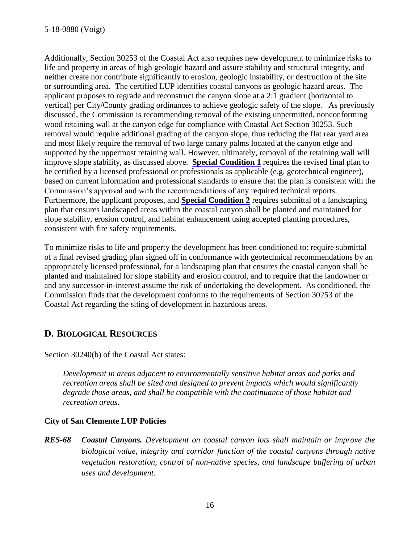Additionally, Section 30253 of the Coastal Act also requires new development to minimize risks to life and property in areas of high geologic hazard and assure stability and structural integrity, and neither create nor contribute significantly to erosion, geologic instability, or destruction of the site or surrounding area. The certified LUP identifies coastal canyons as geologic hazard areas. The applicant proposes to regrade and reconstruct the canyon slope at a 2:1 gradient (horizontal to vertical) per City/County grading ordinances to achieve geologic safety of the slope. As previously discussed, the Commission is recommending removal of the existing unpermitted, nonconforming wood retaining wall at the canyon edge for compliance with Coastal Act Section 30253. Such removal would require additional grading of the canyon slope, thus reducing the flat rear yard area and most likely require the removal of two large canary palms located at the canyon edge and supported by the uppermost retaining wall. However, ultimately, removal of the retaining wall will improve slope stability, as discussed above. **[Special Condition 1](#page-4-0)** requires the revised final plan to be certified by a licensed professional or professionals as applicable (e.g. geotechnical engineer), based on current information and professional standards to ensure that the plan is consistent with the Commission's approval and with the recommendations of any required technical reports. Furthermore, the applicant proposes, and **[Special Condition 2](#page-4-0)** requires submittal of a landscaping plan that ensures landscaped areas within the coastal canyon shall be planted and maintained for slope stability, erosion control, and habitat enhancement using accepted planting procedures, consistent with fire safety requirements.

To minimize risks to life and property the development has been conditioned to: require submittal of a final revised grading plan signed off in conformance with geotechnical recommendations by an appropriately licensed professional, for a landscaping plan that ensures the coastal canyon shall be planted and maintained for slope stability and erosion control, and to require that the landowner or and any successor-in-interest assume the risk of undertaking the development. As conditioned, the Commission finds that the development conforms to the requirements of Section 30253 of the Coastal Act regarding the siting of development in hazardous areas.

## <span id="page-15-0"></span>**D. BIOLOGICAL RESOURCES**

Section 30240(b) of the Coastal Act states:

*Development in areas adjacent to environmentally sensitive habitat areas and parks and recreation areas shall be sited and designed to prevent impacts which would significantly degrade those areas, and shall be compatible with the continuance of those habitat and recreation areas.* 

#### **City of San Clemente LUP Policies**

*RES-68 Coastal Canyons. Development on coastal canyon lots shall maintain or improve the biological value, integrity and corridor function of the coastal canyons through native vegetation restoration, control of non-native species, and landscape buffering of urban uses and development.*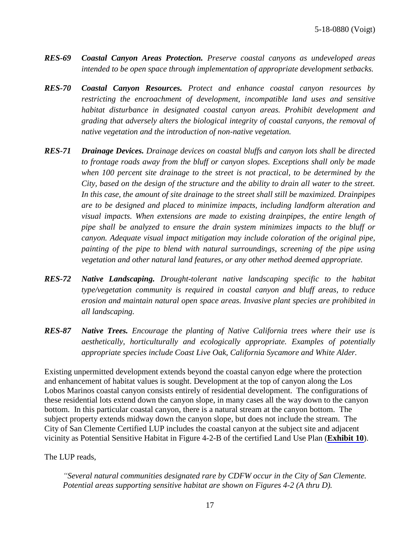- *RES-69 Coastal Canyon Areas Protection. Preserve coastal canyons as undeveloped areas intended to be open space through implementation of appropriate development setbacks.*
- *RES-70 Coastal Canyon Resources. Protect and enhance coastal canyon resources by restricting the encroachment of development, incompatible land uses and sensitive habitat disturbance in designated coastal canyon areas. Prohibit development and grading that adversely alters the biological integrity of coastal canyons, the removal of native vegetation and the introduction of non-native vegetation.*
- *RES-71 Drainage Devices. Drainage devices on coastal bluffs and canyon lots shall be directed to frontage roads away from the bluff or canyon slopes. Exceptions shall only be made when 100 percent site drainage to the street is not practical, to be determined by the City, based on the design of the structure and the ability to drain all water to the street. In this case, the amount of site drainage to the street shall still be maximized. Drainpipes are to be designed and placed to minimize impacts, including landform alteration and visual impacts. When extensions are made to existing drainpipes, the entire length of pipe shall be analyzed to ensure the drain system minimizes impacts to the bluff or canyon. Adequate visual impact mitigation may include coloration of the original pipe, painting of the pipe to blend with natural surroundings, screening of the pipe using vegetation and other natural land features, or any other method deemed appropriate.*
- *RES-72 Native Landscaping. Drought-tolerant native landscaping specific to the habitat type/vegetation community is required in coastal canyon and bluff areas, to reduce erosion and maintain natural open space areas. Invasive plant species are prohibited in all landscaping.*
- *RES-87 Native Trees. Encourage the planting of Native California trees where their use is aesthetically, horticulturally and ecologically appropriate. Examples of potentially appropriate species include Coast Live Oak, California Sycamore and White Alder.*

Existing unpermitted development extends beyond the coastal canyon edge where the protection and enhancement of habitat values is sought. Development at the top of canyon along the Los Lobos Marinos coastal canyon consists entirely of residential development. The configurations of these residential lots extend down the canyon slope, in many cases all the way down to the canyon bottom. In this particular coastal canyon, there is a natural stream at the canyon bottom. The subject property extends midway down the canyon slope, but does not include the stream. The City of San Clemente Certified LUP includes the coastal canyon at the subject site and adjacent vicinity as Potential Sensitive Habitat in Figure 4-2-B of the certified Land Use Plan (**[Exhibit](https://documents.coastal.ca.gov/reports/2018/6/F11e/F11e-6-2018-exhibits.pdf) 10**).

The LUP reads,

*"Several natural communities designated rare by CDFW occur in the City of San Clemente. Potential areas supporting sensitive habitat are shown on Figures 4-2 (A thru D).*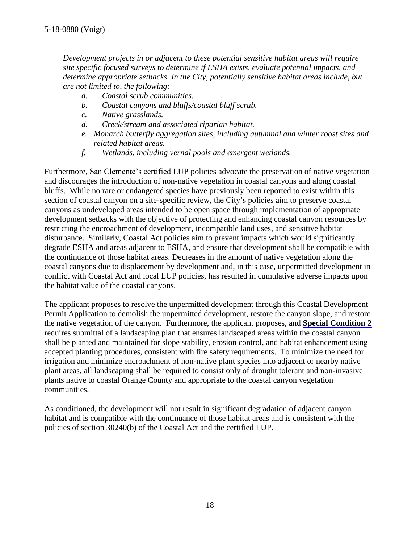*Development projects in or adjacent to these potential sensitive habitat areas will require site specific focused surveys to determine if ESHA exists, evaluate potential impacts, and determine appropriate setbacks. In the City, potentially sensitive habitat areas include, but are not limited to, the following:* 

- *a. Coastal scrub communities.*
- *b. Coastal canyons and bluffs/coastal bluff scrub.*
- *c. Native grasslands.*
- *d. Creek/stream and associated riparian habitat.*
- *e. Monarch butterfly aggregation sites, including autumnal and winter roost sites and related habitat areas.*
- *f. Wetlands, including vernal pools and emergent wetlands.*

Furthermore, San Clemente's certified LUP policies advocate the preservation of native vegetation and discourages the introduction of non-native vegetation in coastal canyons and along coastal bluffs. While no rare or endangered species have previously been reported to exist within this section of coastal canyon on a site-specific review, the City's policies aim to preserve coastal canyons as undeveloped areas intended to be open space through implementation of appropriate development setbacks with the objective of protecting and enhancing coastal canyon resources by restricting the encroachment of development, incompatible land uses, and sensitive habitat disturbance. Similarly, Coastal Act policies aim to prevent impacts which would significantly degrade ESHA and areas adjacent to ESHA, and ensure that development shall be compatible with the continuance of those habitat areas. Decreases in the amount of native vegetation along the coastal canyons due to displacement by development and, in this case, unpermitted development in conflict with Coastal Act and local LUP policies, has resulted in cumulative adverse impacts upon the habitat value of the coastal canyons.

The applicant proposes to resolve the unpermitted development through this Coastal Development Permit Application to demolish the unpermitted development, restore the canyon slope, and restore the native vegetation of the canyon. Furthermore, the applicant proposes, and **[Special Condition 2](#page-4-0)** requires submittal of a landscaping plan that ensures landscaped areas within the coastal canyon shall be planted and maintained for slope stability, erosion control, and habitat enhancement using accepted planting procedures, consistent with fire safety requirements. To minimize the need for irrigation and minimize encroachment of non-native plant species into adjacent or nearby native plant areas, all landscaping shall be required to consist only of drought tolerant and non-invasive plants native to coastal Orange County and appropriate to the coastal canyon vegetation communities.

As conditioned, the development will not result in significant degradation of adjacent canyon habitat and is compatible with the continuance of those habitat areas and is consistent with the policies of section 30240(b) of the Coastal Act and the certified LUP.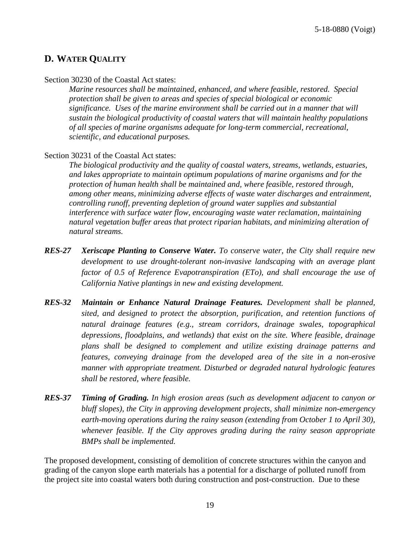#### <span id="page-18-0"></span>**D. WATER QUALITY**

#### Section 30230 of the Coastal Act states:

*Marine resources shall be maintained, enhanced, and where feasible, restored. Special protection shall be given to areas and species of special biological or economic significance. Uses of the marine environment shall be carried out in a manner that will sustain the biological productivity of coastal waters that will maintain healthy populations of all species of marine organisms adequate for long-term commercial, recreational, scientific, and educational purposes.*

#### Section 30231 of the Coastal Act states:

*The biological productivity and the quality of coastal waters, streams, wetlands, estuaries, and lakes appropriate to maintain optimum populations of marine organisms and for the protection of human health shall be maintained and, where feasible, restored through, among other means, minimizing adverse effects of waste water discharges and entrainment, controlling runoff, preventing depletion of ground water supplies and substantial interference with surface water flow, encouraging waste water reclamation, maintaining natural vegetation buffer areas that protect riparian habitats, and minimizing alteration of natural streams.*

- *RES-27 Xeriscape Planting to Conserve Water. To conserve water, the City shall require new development to use drought-tolerant non-invasive landscaping with an average plant factor of 0.5 of Reference Evapotranspiration (ETo), and shall encourage the use of California Native plantings in new and existing development.*
- *RES-32 Maintain or Enhance Natural Drainage Features. Development shall be planned, sited, and designed to protect the absorption, purification, and retention functions of natural drainage features (e.g., stream corridors, drainage swales, topographical depressions, floodplains, and wetlands) that exist on the site. Where feasible, drainage plans shall be designed to complement and utilize existing drainage patterns and features, conveying drainage from the developed area of the site in a non-erosive manner with appropriate treatment. Disturbed or degraded natural hydrologic features shall be restored, where feasible.*
- *RES-37 Timing of Grading. In high erosion areas (such as development adjacent to canyon or bluff slopes), the City in approving development projects, shall minimize non-emergency earth-moving operations during the rainy season (extending from October 1 to April 30), whenever feasible. If the City approves grading during the rainy season appropriate BMPs shall be implemented.*

The proposed development, consisting of demolition of concrete structures within the canyon and grading of the canyon slope earth materials has a potential for a discharge of polluted runoff from the project site into coastal waters both during construction and post-construction. Due to these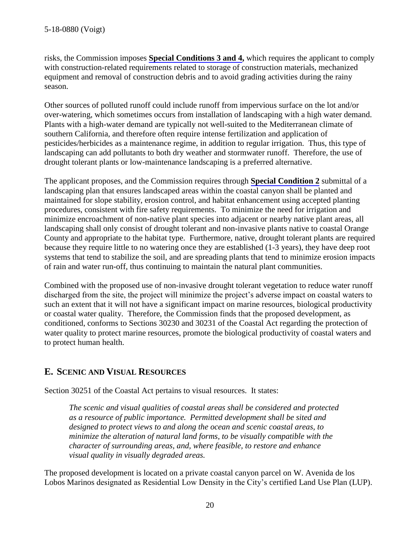risks, the Commission imposes **[Special Conditions 3](#page-6-0) and 4,** which requires the applicant to comply with construction-related requirements related to storage of construction materials, mechanized equipment and removal of construction debris and to avoid grading activities during the rainy season.

Other sources of polluted runoff could include runoff from impervious surface on the lot and/or over-watering, which sometimes occurs from installation of landscaping with a high water demand. Plants with a high-water demand are typically not well-suited to the Mediterranean climate of southern California, and therefore often require intense fertilization and application of pesticides/herbicides as a maintenance regime, in addition to regular irrigation. Thus, this type of landscaping can add pollutants to both dry weather and stormwater runoff. Therefore, the use of drought tolerant plants or low-maintenance landscaping is a preferred alternative.

The applicant proposes, and the Commission requires through **[Special Condition 2](#page-4-0)** submittal of a landscaping plan that ensures landscaped areas within the coastal canyon shall be planted and maintained for slope stability, erosion control, and habitat enhancement using accepted planting procedures, consistent with fire safety requirements. To minimize the need for irrigation and minimize encroachment of non-native plant species into adjacent or nearby native plant areas, all landscaping shall only consist of drought tolerant and non-invasive plants native to coastal Orange County and appropriate to the habitat type. Furthermore, native, drought tolerant plants are required because they require little to no watering once they are established (1-3 years), they have deep root systems that tend to stabilize the soil, and are spreading plants that tend to minimize erosion impacts of rain and water run-off, thus continuing to maintain the natural plant communities.

Combined with the proposed use of non-invasive drought tolerant vegetation to reduce water runoff discharged from the site, the project will minimize the project's adverse impact on coastal waters to such an extent that it will not have a significant impact on marine resources, biological productivity or coastal water quality. Therefore, the Commission finds that the proposed development, as conditioned, conforms to Sections 30230 and 30231 of the Coastal Act regarding the protection of water quality to protect marine resources, promote the biological productivity of coastal waters and to protect human health.

### <span id="page-19-0"></span>**E. SCENIC AND VISUAL RESOURCES**

Section 30251 of the Coastal Act pertains to visual resources. It states:

*The scenic and visual qualities of coastal areas shall be considered and protected as a resource of public importance. Permitted development shall be sited and designed to protect views to and along the ocean and scenic coastal areas, to minimize the alteration of natural land forms, to be visually compatible with the character of surrounding areas, and, where feasible, to restore and enhance visual quality in visually degraded areas.* 

The proposed development is located on a private coastal canyon parcel on W. Avenida de los Lobos Marinos designated as Residential Low Density in the City's certified Land Use Plan (LUP).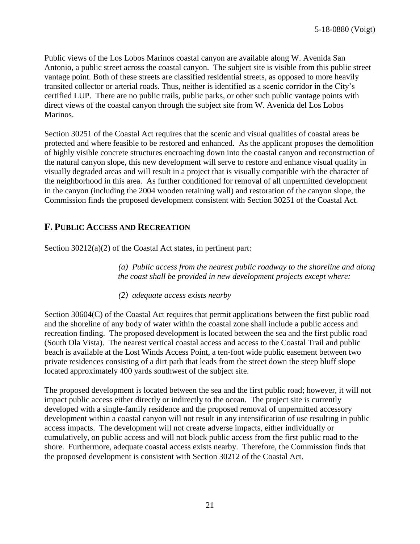Public views of the Los Lobos Marinos coastal canyon are available along W. Avenida San Antonio, a public street across the coastal canyon. The subject site is visible from this public street vantage point. Both of these streets are classified residential streets, as opposed to more heavily transited collector or arterial roads. Thus, neither is identified as a scenic corridor in the City's certified LUP. There are no public trails, public parks, or other such public vantage points with direct views of the coastal canyon through the subject site from W. Avenida del Los Lobos Marinos.

Section 30251 of the Coastal Act requires that the scenic and visual qualities of coastal areas be protected and where feasible to be restored and enhanced. As the applicant proposes the demolition of highly visible concrete structures encroaching down into the coastal canyon and reconstruction of the natural canyon slope, this new development will serve to restore and enhance visual quality in visually degraded areas and will result in a project that is visually compatible with the character of the neighborhood in this area. As further conditioned for removal of all unpermitted development in the canyon (including the 2004 wooden retaining wall) and restoration of the canyon slope, the Commission finds the proposed development consistent with Section 30251 of the Coastal Act.

#### <span id="page-20-0"></span>**F. PUBLIC ACCESS AND RECREATION**

Section 30212(a)(2) of the Coastal Act states, in pertinent part:

*(a) Public access from the nearest public roadway to the shoreline and along the coast shall be provided in new development projects except where:*

*(2) adequate access exists nearby* 

Section 30604(C) of the Coastal Act requires that permit applications between the first public road and the shoreline of any body of water within the coastal zone shall include a public access and recreation finding. The proposed development is located between the sea and the first public road (South Ola Vista). The nearest vertical coastal access and access to the Coastal Trail and public beach is available at the Lost Winds Access Point, a ten-foot wide public easement between two private residences consisting of a dirt path that leads from the street down the steep bluff slope located approximately 400 yards southwest of the subject site.

The proposed development is located between the sea and the first public road; however, it will not impact public access either directly or indirectly to the ocean. The project site is currently developed with a single-family residence and the proposed removal of unpermitted accessory development within a coastal canyon will not result in any intensification of use resulting in public access impacts. The development will not create adverse impacts, either individually or cumulatively, on public access and will not block public access from the first public road to the shore. Furthermore, adequate coastal access exists nearby. Therefore, the Commission finds that the proposed development is consistent with Section 30212 of the Coastal Act.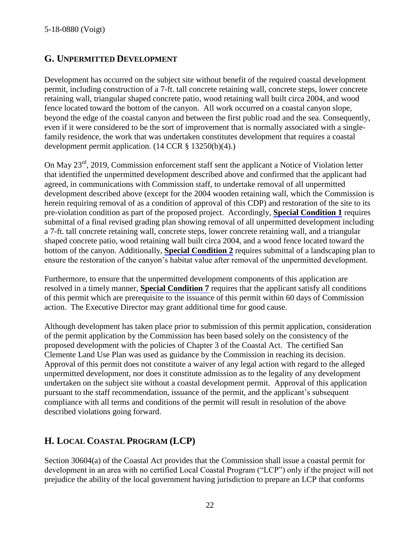### <span id="page-21-0"></span>**G. UNPERMITTED DEVELOPMENT**

Development has occurred on the subject site without benefit of the required coastal development permit, including construction of a 7-ft. tall concrete retaining wall, concrete steps, lower concrete retaining wall, triangular shaped concrete patio, wood retaining wall built circa 2004, and wood fence located toward the bottom of the canyon. All work occurred on a coastal canyon slope, beyond the edge of the coastal canyon and between the first public road and the sea. Consequently, even if it were considered to be the sort of improvement that is normally associated with a singlefamily residence, the work that was undertaken constitutes development that requires a coastal development permit application.  $(14 \text{ CCR } \S 13250(b)(4))$ .

On May 23<sup>rd</sup>, 2019, Commission enforcement staff sent the applicant a Notice of Violation letter that identified the unpermitted development described above and confirmed that the applicant had agreed, in communications with Commission staff, to undertake removal of all unpermitted development described above (except for the 2004 wooden retaining wall, which the Commission is herein requiring removal of as a condition of approval of this CDP) and restoration of the site to its pre-violation condition as part of the proposed project. Accordingly, **[Special Condition 1](#page-4-0)** requires submittal of a final revised grading plan showing removal of all unpermitted development including a 7-ft. tall concrete retaining wall, concrete steps, lower concrete retaining wall, and a triangular shaped concrete patio, wood retaining wall built circa 2004, and a wood fence located toward the bottom of the canyon. Additionally, **[Special Condition 2](#page-4-0)** requires submittal of a landscaping plan to ensure the restoration of the canyon's habitat value after removal of the unpermitted development.

Furthermore, to ensure that the unpermitted development components of this application are resolved in a timely manner, **[Special Condition 7](#page-8-2)** requires that the applicant satisfy all conditions of this permit which are prerequisite to the issuance of this permit within 60 days of Commission action. The Executive Director may grant additional time for good cause.

Although development has taken place prior to submission of this permit application, consideration of the permit application by the Commission has been based solely on the consistency of the proposed development with the policies of Chapter 3 of the Coastal Act. The certified San Clemente Land Use Plan was used as guidance by the Commission in reaching its decision. Approval of this permit does not constitute a waiver of any legal action with regard to the alleged unpermitted development, nor does it constitute admission as to the legality of any development undertaken on the subject site without a coastal development permit. Approval of this application pursuant to the staff recommendation, issuance of the permit, and the applicant's subsequent compliance with all terms and conditions of the permit will result in resolution of the above described violations going forward.

## <span id="page-21-1"></span>**H. LOCAL COASTAL PROGRAM (LCP)**

Section 30604(a) of the Coastal Act provides that the Commission shall issue a coastal permit for development in an area with no certified Local Coastal Program ("LCP") only if the project will not prejudice the ability of the local government having jurisdiction to prepare an LCP that conforms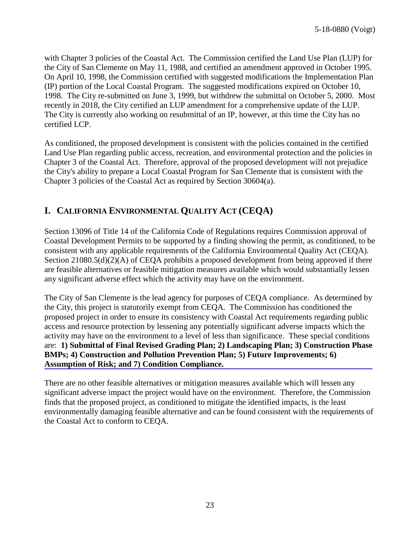with Chapter 3 policies of the Coastal Act. The Commission certified the Land Use Plan (LUP) for the City of San Clemente on May 11, 1988, and certified an amendment approved in October 1995. On April 10, 1998, the Commission certified with suggested modifications the Implementation Plan (IP) portion of the Local Coastal Program. The suggested modifications expired on October 10, 1998. The City re-submitted on June 3, 1999, but withdrew the submittal on October 5, 2000. Most recently in 2018, the City certified an LUP amendment for a comprehensive update of the LUP. The City is currently also working on resubmittal of an IP, however, at this time the City has no certified LCP.

As conditioned, the proposed development is consistent with the policies contained in the certified Land Use Plan regarding public access, recreation, and environmental protection and the policies in Chapter 3 of the Coastal Act. Therefore, approval of the proposed development will not prejudice the City's ability to prepare a Local Coastal Program for San Clemente that is consistent with the Chapter 3 policies of the Coastal Act as required by Section 30604(a).

## <span id="page-22-0"></span>**I. CALIFORNIA ENVIRONMENTAL QUALITY ACT (CEQA)**

Section 13096 of Title 14 of the California Code of Regulations requires Commission approval of Coastal Development Permits to be supported by a finding showing the permit, as conditioned, to be consistent with any applicable requirements of the California Environmental Quality Act (CEQA). Section 21080.5(d)(2)(A) of CEQA prohibits a proposed development from being approved if there are feasible alternatives or feasible mitigation measures available which would substantially lessen any significant adverse effect which the activity may have on the environment.

The City of San Clemente is the lead agency for purposes of CEQA compliance. As determined by the City, this project is statutorily exempt from CEQA. The Commission has conditioned the proposed project in order to ensure its consistency with Coastal Act requirements regarding public access and resource protection by lessening any potentially significant adverse impacts which the activity may have on the environment to a level of less than significance. These special conditions are: **1) Submittal of Final Revised Grading Plan; 2) Landscaping Plan; 3) Construction Phase [BMPs; 4\) Construction and Pollution Prevention Plan; 5\) Future Improvements; 6\)](#page-4-0)  Assumption of Risk; and 7) Condition Compliance.**

There are no other feasible alternatives or mitigation measures available which will lessen any significant adverse impact the project would have on the environment. Therefore, the Commission finds that the proposed project, as conditioned to mitigate the identified impacts, is the least environmentally damaging feasible alternative and can be found consistent with the requirements of the Coastal Act to conform to CEQA.